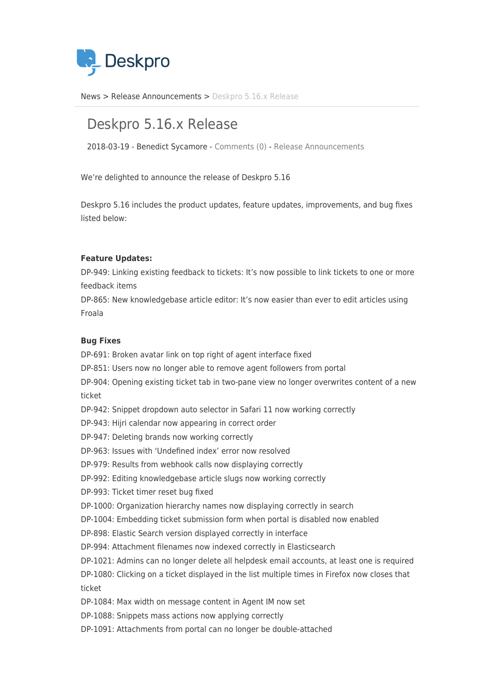

[News](https://support.deskpro.com/ro/news) > [Release Announcements](https://support.deskpro.com/ro/news/release-announcements) > [Deskpro 5.16.x Release](https://support.deskpro.com/ro/news/posts/deskpro-5-16-x-release)

# Deskpro 5.16.x Release

2018-03-19 - Benedict Sycamore - [Comments \(0\)](#page--1-0) - [Release Announcements](https://support.deskpro.com/ro/news/release-announcements)

We're delighted to announce the release of Deskpro 5.16

Deskpro 5.16 includes the product updates, feature updates, improvements, and bug fixes listed below:

### **Feature Updates:**

DP-949: Linking existing feedback to tickets: It's now possible to link tickets to one or more feedback items

DP-865: New knowledgebase article editor: It's now easier than ever to edit articles using Froala

# **Bug Fixes**

DP-691: Broken avatar link on top right of agent interface fixed DP-851: Users now no longer able to remove agent followers from portal DP-904: Opening existing ticket tab in two-pane view no longer overwrites content of a new ticket DP-942: Snippet dropdown auto selector in Safari 11 now working correctly DP-943: Hijri calendar now appearing in correct order DP-947: Deleting brands now working correctly DP-963: Issues with 'Undefined index' error now resolved DP-979: Results from webhook calls now displaying correctly DP-992: Editing knowledgebase article slugs now working correctly DP-993: Ticket timer reset bug fixed DP-1000: Organization hierarchy names now displaying correctly in search DP-1004: Embedding ticket submission form when portal is disabled now enabled DP-898: Elastic Search version displayed correctly in interface DP-994: Attachment filenames now indexed correctly in Elasticsearch DP-1021: Admins can no longer delete all helpdesk email accounts, at least one is required DP-1080: Clicking on a ticket displayed in the list multiple times in Firefox now closes that ticket DP-1084: Max width on message content in Agent IM now set DP-1088: Snippets mass actions now applying correctly DP-1091: Attachments from portal can no longer be double-attached